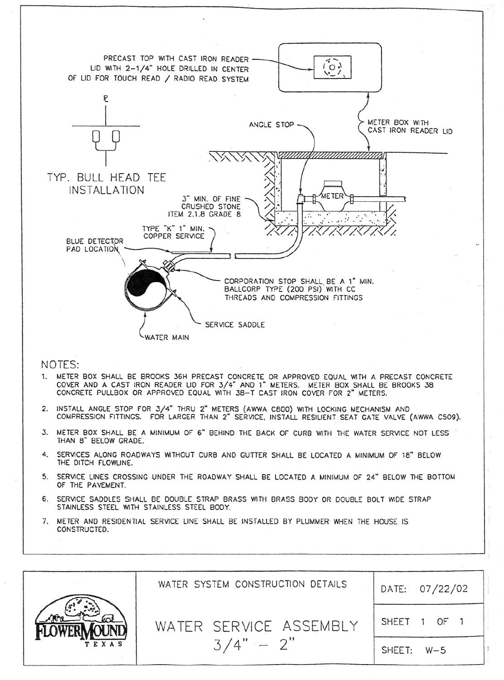

NOTES:

- 1. METER BOX SHALL BE BROOKS 36H PRECAST CONCRETE OR APPROVED EQUAL WITH A PRECAST CONCRETE COVER AND A CAST IRON READER LID FOR 3/4" AND 1" METERS. METER BOX SHALL BE BROOKS 38 CONCRETE PULLBOX OR APPROVED EQUAL WITH 38-T CAST IRON COVER FOR 2" METERS.
- 2. INSTALL ANGLE STOP FOR 3/4" THRU 2" METERS (AWWA C8DD) WITH LOCKING MECHANISM AND COMPRESSION FITTINGS. FOR LARGER THAN 2" SERVICE, INSTALL RESILIENT SEAT GATE VALVE (AWWA C509).
- 3. METER BOX SHALL BE A MINIMUM OF 6" BEHIND THE BACK OF CURB WITH THE WATER SERVICE NOT LESS' THAN B" BELOW GRADE.
- 4. SERVICES ALONG ROADWAYS WITHOUT CURB AND GUTTER SHALL BE LOCATED A MINIMUM OF 18" BELOW THE DITCH FLOWLINE.
- 5. SERVICE LINES CROSSING UNDER THE ROADWAY SHALL BE LOCATED A MINIMUM OF 24" BELOW THE BOTTOM OF THE PAVEMENT.
- 6. SERVICE SADDLES SHALL BE DOUBLE STRAP BRASS WITH BRASS BODY OR DOUBLE BOLT WIDE STRAP STAINLESS STEEL WITH STAINLESS STEEL BODY.
- 7. METER AND RESIDENTIAL SERVICE LINE SHALL BE INSTALLED BY PLUMMER WHEN THE HOUSE IS CONSTRUCTED.

|       | WATER SYSTEM CONSTRUCTION DETAILS | DATE: 07/22/02 |
|-------|-----------------------------------|----------------|
|       | WATER SERVICE ASSEMBLY            | SHEET 1 OF 1   |
| TEXAS | $3/4" - 2"$                       | SHEET: W-5     |